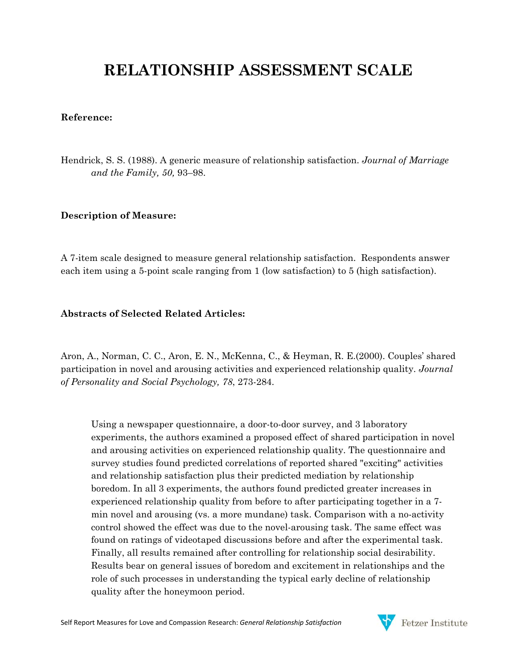# **RELATIONSHIP ASSESSMENT SCALE**

#### **Reference:**

Hendrick, S. S. (1988). A generic measure of relationship satisfaction. *Journal of Marriage and the Family, 50,* 93–98.

#### **Description of Measure:**

A 7-item scale designed to measure general relationship satisfaction. Respondents answer each item using a 5-point scale ranging from 1 (low satisfaction) to 5 (high satisfaction).

#### **Abstracts of Selected Related Articles:**

Aron, A., Norman, C. C., Aron, E. N., McKenna, C., & Heyman, R. E.(2000). Couples' shared participation in novel and arousing activities and experienced relationship quality. *Journal of Personality and Social Psychology, 78*, 273-284.

Using a newspaper questionnaire, a door-to-door survey, and 3 laboratory experiments, the authors examined a proposed effect of shared participation in novel and arousing activities on experienced relationship quality. The questionnaire and survey studies found predicted correlations of reported shared "exciting" activities and relationship satisfaction plus their predicted mediation by relationship boredom. In all 3 experiments, the authors found predicted greater increases in experienced relationship quality from before to after participating together in a 7 min novel and arousing (vs. a more mundane) task. Comparison with a no-activity control showed the effect was due to the novel-arousing task. The same effect was found on ratings of videotaped discussions before and after the experimental task. Finally, all results remained after controlling for relationship social desirability. Results bear on general issues of boredom and excitement in relationships and the role of such processes in understanding the typical early decline of relationship quality after the honeymoon period.

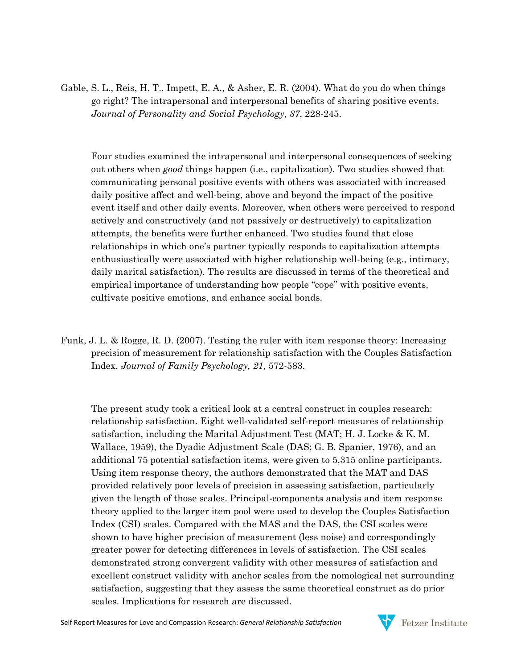Gable, S. L., Reis, H. T., Impett, E. A., & Asher, E. R. (2004). What do you do when things go right? The intrapersonal and interpersonal benefits of sharing positive events. *Journal of Personality and Social Psychology, 87*, 228-245.

Four studies examined the intrapersonal and interpersonal consequences of seeking out others when *good* things happen (i.e., capitalization). Two studies showed that communicating personal positive events with others was associated with increased daily positive affect and well-being, above and beyond the impact of the positive event itself and other daily events. Moreover, when others were perceived to respond actively and constructively (and not passively or destructively) to capitalization attempts, the benefits were further enhanced. Two studies found that close relationships in which one's partner typically responds to capitalization attempts enthusiastically were associated with higher relationship well-being (e.g., intimacy, daily marital satisfaction). The results are discussed in terms of the theoretical and empirical importance of understanding how people "cope" with positive events, cultivate positive emotions, and enhance social bonds.

Funk, J. L. & Rogge, R. D. (2007). Testing the ruler with item response theory: Increasing precision of measurement for relationship satisfaction with the Couples Satisfaction Index. *Journal of Family Psychology, 21*, 572-583.

The present study took a critical look at a central construct in couples research: relationship satisfaction. Eight well-validated self-report measures of relationship satisfaction, including the Marital Adjustment Test (MAT; H. J. Locke & K. M. Wallace, 1959), the Dyadic Adjustment Scale (DAS; G. B. Spanier, 1976), and an additional 75 potential satisfaction items, were given to 5,315 online participants. Using item response theory, the authors demonstrated that the MAT and DAS provided relatively poor levels of precision in assessing satisfaction, particularly given the length of those scales. Principal-components analysis and item response theory applied to the larger item pool were used to develop the Couples Satisfaction Index (CSI) scales. Compared with the MAS and the DAS, the CSI scales were shown to have higher precision of measurement (less noise) and correspondingly greater power for detecting differences in levels of satisfaction. The CSI scales demonstrated strong convergent validity with other measures of satisfaction and excellent construct validity with anchor scales from the nomological net surrounding satisfaction, suggesting that they assess the same theoretical construct as do prior scales. Implications for research are discussed.